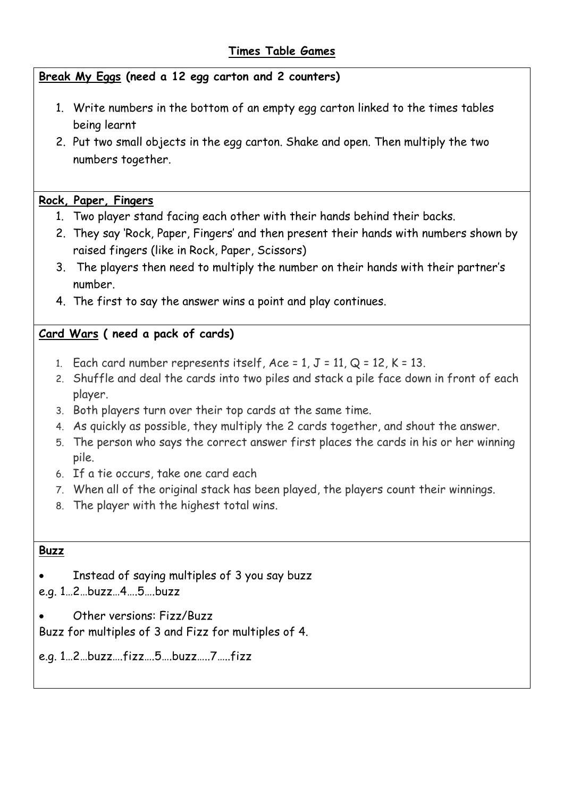## **Times Table Games**

**Break My Eggs (need a 12 egg carton and 2 counters)**

- 1. Write numbers in the bottom of an empty egg carton linked to the times tables being learnt
- 2. Put two small objects in the egg carton. Shake and open. Then multiply the two numbers together.

### **Rock, Paper, Fingers**

- 1. Two player stand facing each other with their hands behind their backs.
- 2. They say 'Rock, Paper, Fingers' and then present their hands with numbers shown by raised fingers (like in Rock, Paper, Scissors)
- 3. The players then need to multiply the number on their hands with their partner's number.
- 4. The first to say the answer wins a point and play continues.

### **Card Wars ( need a pack of cards)**

- 1. Each card number represents itself,  $Acc = 1$ ,  $J = 11$ ,  $Q = 12$ ,  $K = 13$ .
- 2. Shuffle and deal the cards into two piles and stack a pile face down in front of each player.
- 3. Both players turn over their top cards at the same time.
- 4. As quickly as possible, they multiply the 2 cards together, and shout the answer.
- 5. The person who says the correct answer first places the cards in his or her winning pile.
- 6. If a tie occurs, take one card each
- 7. When all of the original stack has been played, the players count their winnings.
- 8. The player with the highest total wins.

#### **Buzz**

- Instead of saying multiples of 3 you say buzz
- e.g. 1…2…buzz…4….5….buzz
- Other versions: Fizz/Buzz

Buzz for multiples of 3 and Fizz for multiples of 4.

e.g. 1…2…buzz….fizz….5….buzz…..7…..fizz